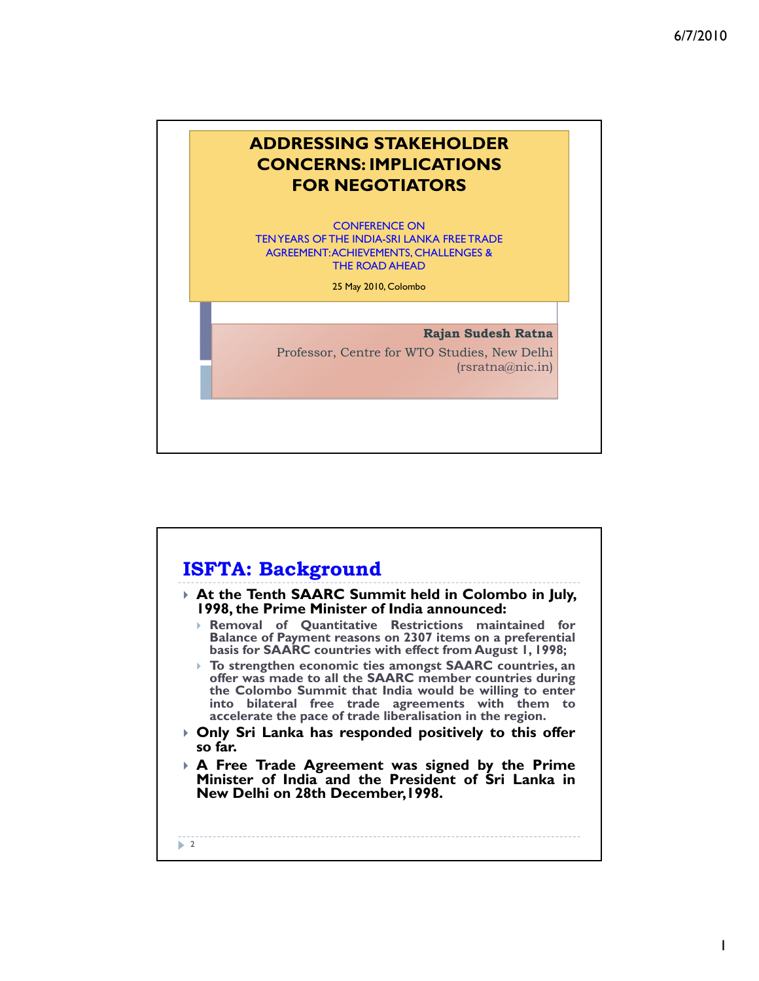1



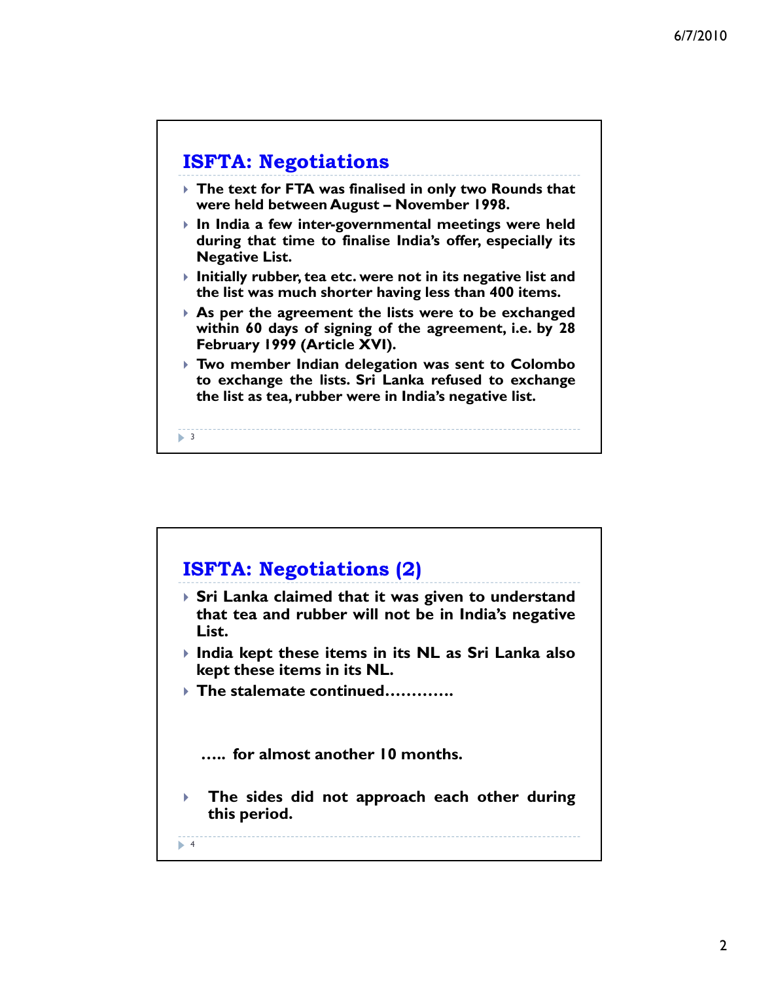

 $\blacktriangleright$  3

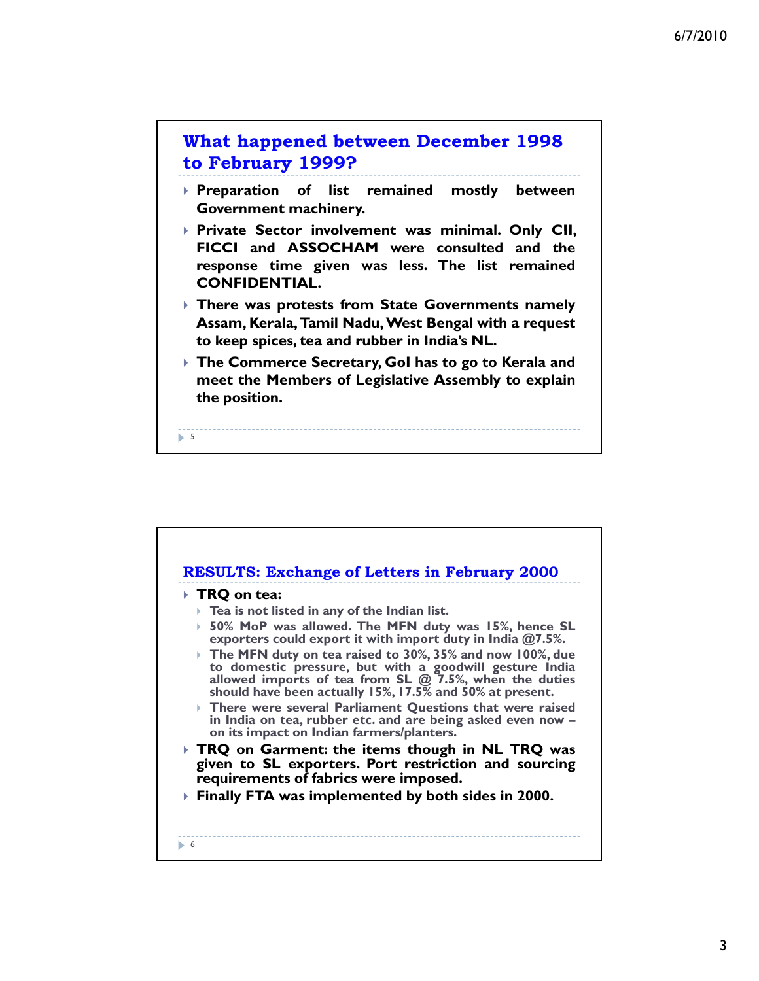

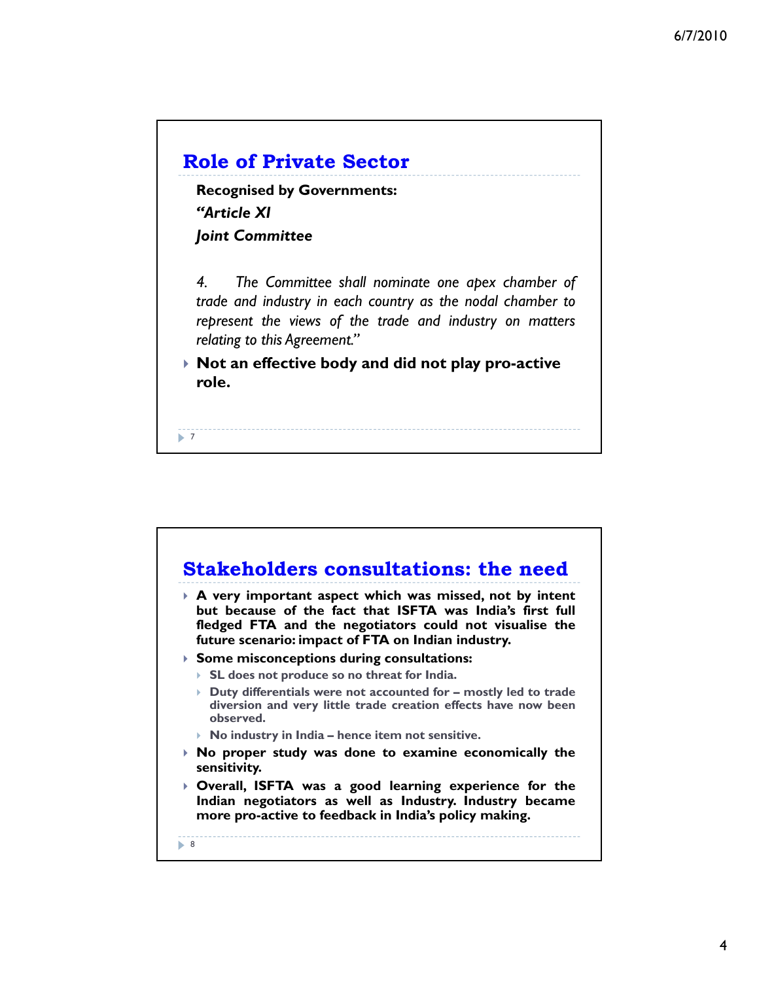

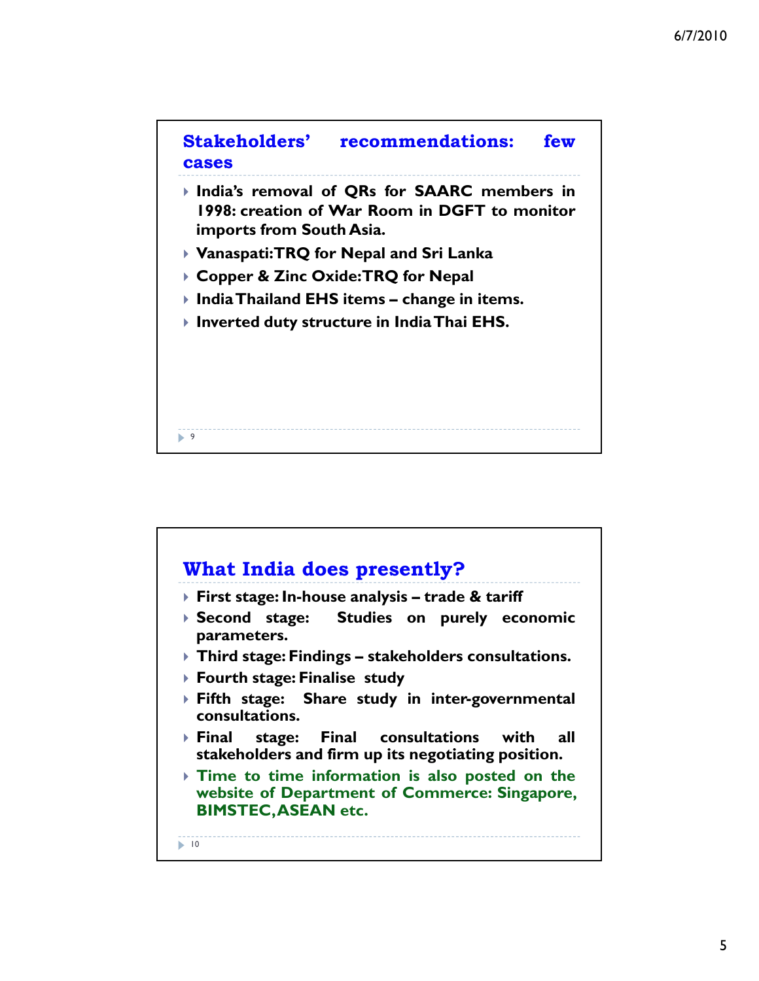

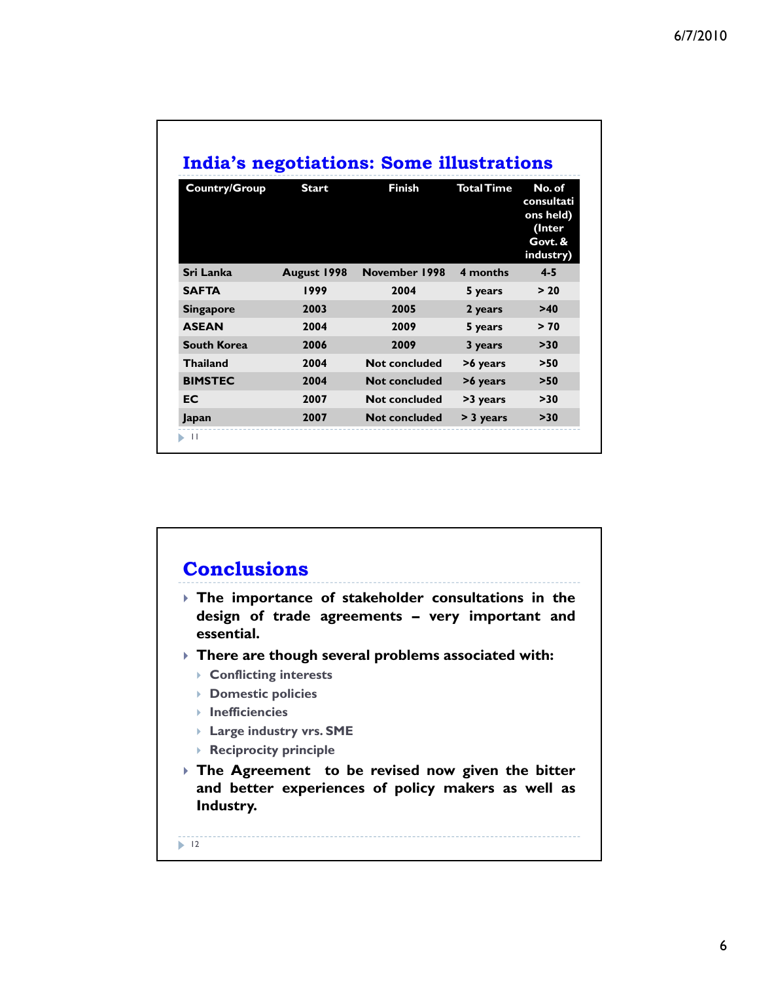| Country/Group      | <b>Start</b> | <b>Finish</b>        | <b>Total Time</b> | No. of<br>consultati<br>ons held)<br>(Inter<br>Govt. &<br>industry) |
|--------------------|--------------|----------------------|-------------------|---------------------------------------------------------------------|
| Sri Lanka          | August 1998  | November 1998        | 4 months          | $4 - 5$                                                             |
| <b>SAFTA</b>       | 1999         | 2004                 | 5 years           | > 20                                                                |
| <b>Singapore</b>   | 2003         | 2005                 | 2 years           | >40                                                                 |
| <b>ASEAN</b>       | 2004         | 2009                 | 5 years           | > 70                                                                |
| <b>South Korea</b> | 2006         | 2009                 | 3 years           | >30                                                                 |
| <b>Thailand</b>    | 2004         | <b>Not concluded</b> | >6 years          | >50                                                                 |
| <b>BIMSTEC</b>     | 2004         | <b>Not concluded</b> | >6 years          | >50                                                                 |
| <b>EC</b>          | 2007         | <b>Not concluded</b> | >3 years          | >30                                                                 |
| Japan              | 2007         | <b>Not concluded</b> | > 3 years         | >30                                                                 |

## **Conclusions** ` **The importance of stakeholder consultations in the design of trade agreements – very important and essential.** ` **There are though several problems associated with:** ` **Conflicting interests** ` **Domestic policies** ` **Inefficiencies** ` **Large industry vrs. SME** ` **Reciprocity principle**  $\blacktriangleright$  12 ` **The Agreement to be revised now given the bitter and better experiences of policy makers as well as Industry.**